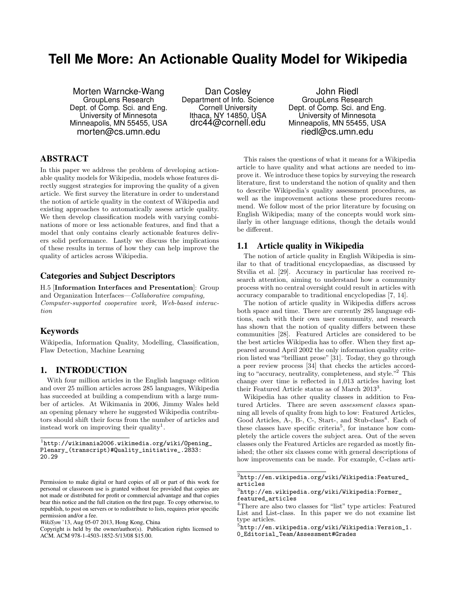# **Tell Me More: An Actionable Quality Model for Wikipedia**

Morten Warncke-Wang GroupLens Research Dept. of Comp. Sci. and Eng. University of Minnesota Minneapolis, MN 55455, USA morten@cs.umn.edu

Dan Cosley Department of Info. Science Cornell University Ithaca, NY 14850, USA drc44@cornell.edu

John Riedl GroupLens Research Dept. of Comp. Sci. and Eng. University of Minnesota Minneapolis, MN 55455, USA riedl@cs.umn.edu

# ABSTRACT

In this paper we address the problem of developing actionable quality models for Wikipedia, models whose features directly suggest strategies for improving the quality of a given article. We first survey the literature in order to understand the notion of article quality in the context of Wikipedia and existing approaches to automatically assess article quality. We then develop classification models with varying combinations of more or less actionable features, and find that a model that only contains clearly actionable features delivers solid performance. Lastly we discuss the implications of these results in terms of how they can help improve the quality of articles across Wikipedia.

## Categories and Subject Descriptors

H.5 [Information Interfaces and Presentation]: Group and Organization Interfaces—Collaborative computing, Computer-supported cooperative work, Web-based interaction

# Keywords

Wikipedia, Information Quality, Modelling, Classification, Flaw Detection, Machine Learning

# 1. INTRODUCTION

With four million articles in the English language edition and over 25 million articles across 285 languages, Wikipedia has succeeded at building a compendium with a large number of articles. At Wikimania in 2006, Jimmy Wales held an opening plenary where he suggested Wikipedia contributors should shift their focus from the number of articles and instead work on improving their quality<sup>1</sup>.

*WikiSym* '13, Aug 05-07 2013, Hong Kong, China

This raises the questions of what it means for a Wikipedia article to have quality and what actions are needed to improve it. We introduce these topics by surveying the research literature, first to understand the notion of quality and then to describe Wikipedia's quality assessment procedures, as well as the improvement actions these procedures recommend. We follow most of the prior literature by focusing on English Wikipedia; many of the concepts would work similarly in other language editions, though the details would be different.

# 1.1 Article quality in Wikipedia

The notion of article quality in English Wikipedia is similar to that of traditional encyclopaedias, as discussed by Stvilia et al. [29]. Accuracy in particular has received research attention, aiming to understand how a community process with no central oversight could result in articles with accuracy comparable to traditional encyclopedias [7, 14].

The notion of article quality in Wikipedia differs across both space and time. There are currently 285 language editions, each with their own user community, and research has shown that the notion of quality differs between these communities [28]. Featured Articles are considered to be the best articles Wikipedia has to offer. When they first appeared around April 2002 the only information quality criterion listed was "brilliant prose" [31]. Today, they go through a peer review process [34] that checks the articles according to "accuracy, neutrality, completeness, and style."<sup>2</sup> This change over time is reflected in 1,013 articles having lost their Featured Article status as of March 2013<sup>3</sup>.

Wikipedia has other quality classes in addition to Featured Articles. There are seven assessment classes spanning all levels of quality from high to low: Featured Articles, Good Articles, A-, B-, C-, Start-, and Stub-class<sup>4</sup>. Each of these classes have specific criteria<sup>5</sup>, for instance how completely the article covers the subject area. Out of the seven classes only the Featured Articles are regarded as mostly finished; the other six classes come with general descriptions of how improvements can be made. For example, C-class arti-

 $1$ http://wikimania2006.wikimedia.org/wiki/Opening\_ Plenary\_(transcript)#Quality\_initiative\_.2833: 20.29

Permission to make digital or hard copies of all or part of this work for personal or classroom use is granted without fee provided that copies are not made or distributed for profit or commercial advantage and that copies bear this notice and the full citation on the first page. To copy otherwise, to republish, to post on servers or to redistribute to lists, requires prior specific permission and/or a fee.

Copyright is held by the owner/author(s). Publication rights licensed to ACM. ACM 978-1-4503-1852-5/13/08 \$15.00.

 $^{2}$ http://en.wikipedia.org/wiki/Wikipedia:Featured\_ articles

 $^3$ http://en.wikipedia.org/wiki/Wikipedia:Former\_ featured\_articles

<sup>4</sup>There are also two classes for "list" type articles: Featured List and List-class. In this paper we do not examine list type articles.

 $^5$ http://en.wikipedia.org/wiki/Wikipedia:Version\_1. 0\_Editorial\_Team/Assessment#Grades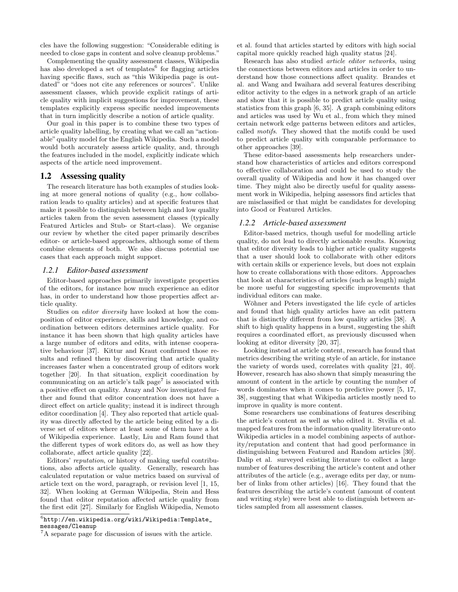cles have the following suggestion: "Considerable editing is needed to close gaps in content and solve cleanup problems."

Complementing the quality assessment classes, Wikipedia has also developed a set of templates for flagging articles having specific flaws, such as "this Wikipedia page is outdated" or "does not cite any references or sources". Unlike assessment classes, which provide explicit ratings of article quality with implicit suggestions for improvement, these templates explicitly express specific needed improvements that in turn implicitly describe a notion of article quality.

Our goal in this paper is to combine these two types of article quality labelling, by creating what we call an "actionable" quality model for the English Wikipedia. Such a model would both accurately assess article quality, and, through the features included in the model, explicitly indicate which aspects of the article need improvement.

## 1.2 Assessing quality

The research literature has both examples of studies looking at more general notions of quality (e.g., how collaboration leads to quality articles) and at specific features that make it possible to distinguish between high and low quality articles taken from the seven assessment classes (typically Featured Articles and Stub- or Start-class). We organise our review by whether the cited paper primarily describes editor- or article-based approaches, although some of them combine elements of both. We also discuss potential use cases that each approach might support.

#### *1.2.1 Editor-based assessment*

Editor-based approaches primarily investigate properties of the editors, for instance how much experience an editor has, in order to understand how those properties affect article quality.

Studies on editor diversity have looked at how the composition of editor experience, skills and knowledge, and coordination between editors determines article quality. For instance it has been shown that high quality articles have a large number of editors and edits, with intense cooperative behaviour [37]. Kittur and Kraut confirmed those results and refined them by discovering that article quality increases faster when a concentrated group of editors work together [20]. In that situation, explicit coordination by communicating on an article's talk page<sup>7</sup> is associated with a positive effect on quality. Arazy and Nov investigated further and found that editor concentration does not have a direct effect on article quality; instead it is indirect through editor coordination [4]. They also reported that article quality was directly affected by the article being edited by a diverse set of editors where at least some of them have a lot of Wikipedia experience. Lastly, Liu and Ram found that the different types of work editors do, as well as how they collaborate, affect article quality [22].

Editors' reputation, or history of making useful contributions, also affects article quality. Generally, research has calculated reputation or value metrics based on survival of article text on the word, paragraph, or revision level [1, 15, 32]. When looking at German Wikipedia, Stein and Hess found that editor reputation affected article quality from the first edit [27]. Similarly for English Wikipedia, Nemoto et al. found that articles started by editors with high social capital more quickly reached high quality status [24].

Research has also studied article editor networks, using the connections between editors and articles in order to understand how those connections affect quality. Brandes et al. and Wang and Iwaihara add several features describing editor activity to the edges in a network graph of an article and show that it is possible to predict article quality using statistics from this graph [6, 35]. A graph combining editors and articles was used by Wu et al., from which they mined certain network edge patterns between editors and articles, called motifs. They showed that the motifs could be used to predict article quality with comparable performance to other approaches [39].

These editor-based assessments help researchers understand how characteristics of articles and editors correspond to effective collaboration and could be used to study the overall quality of Wikipedia and how it has changed over time. They might also be directly useful for quality assessment work in Wikipedia, helping assessors find articles that are misclassified or that might be candidates for developing into Good or Featured Articles.

#### *1.2.2 Article-based assessment*

Editor-based metrics, though useful for modelling article quality, do not lead to directly actionable results. Knowing that editor diversity leads to higher article quality suggests that a user should look to collaborate with other editors with certain skills or experience levels, but does not explain how to create collaborations with those editors. Approaches that look at characteristics of articles (such as length) might be more useful for suggesting specific improvements that individual editors can make.

Wöhner and Peters investigated the life cycle of articles and found that high quality articles have an edit pattern that is distinctly different from low quality articles [38]. A shift to high quality happens in a burst, suggesting the shift requires a coordinated effort, as previously discussed when looking at editor diversity [20, 37].

Looking instead at article content, research has found that metrics describing the writing style of an article, for instance the variety of words used, correlates with quality [21, 40]. However, research has also shown that simply measuring the amount of content in the article by counting the number of words dominates when it comes to predictive power [5, 17, 38], suggesting that what Wikipedia articles mostly need to improve in quality is more content.

Some researchers use combinations of features describing the article's content as well as who edited it. Stvilia et al. mapped features from the information quality literature onto Wikipedia articles in a model combining aspects of authority/reputation and content that had good performance in distinguishing between Featured and Random articles [30]. Dalip et al. surveyed existing literature to collect a large number of features describing the article's content and other attributes of the article (e.g., average edits per day, or number of links from other articles) [16]. They found that the features describing the article's content (amount of content and writing style) were best able to distinguish between articles sampled from all assessment classes.

 $^6$ http://en.wikipedia.org/wiki/Wikipedia:Template\_ messages/Cleanup

<sup>7</sup>A separate page for discussion of issues with the article.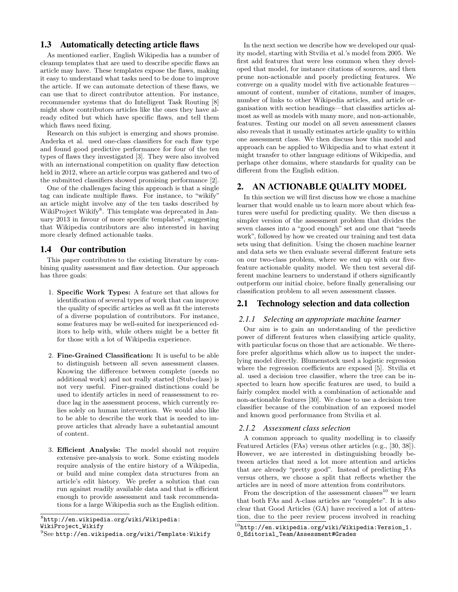## 1.3 Automatically detecting article flaws

As mentioned earlier, English Wikipedia has a number of cleanup templates that are used to describe specific flaws an article may have. These templates expose the flaws, making it easy to understand what tasks need to be done to improve the article. If we can automate detection of these flaws, we can use that to direct contributor attention. For instance, recommender systems that do Intelligent Task Routing [8] might show contributors articles like the ones they have already edited but which have specific flaws, and tell them which flaws need fixing.

Research on this subject is emerging and shows promise. Anderka et al. used one-class classifiers for each flaw type and found good predictive performance for four of the ten types of flaws they investigated [3]. They were also involved with an international competition on quality flaw detection held in 2012, where an article corpus was gathered and two of the submitted classifiers showed promising performance [2].

One of the challenges facing this approach is that a single tag can indicate multiple flaws. For instance, to "wikify" an article might involve any of the ten tasks described by WikiProject Wikify<sup>8</sup>. This template was deprecated in January 2013 in favour of more specific templates<sup>9</sup>, suggesting that Wikipedia contributors are also interested in having more clearly defined actionable tasks.

#### 1.4 Our contribution

This paper contributes to the existing literature by combining quality assessment and flaw detection. Our approach has three goals:

- 1. Specific Work Types: A feature set that allows for identification of several types of work that can improve the quality of specific articles as well as fit the interests of a diverse population of contributors. For instance, some features may be well-suited for inexperienced editors to help with, while others might be a better fit for those with a lot of Wikipedia experience.
- 2. Fine-Grained Classification: It is useful to be able to distinguish between all seven assessment classes. Knowing the difference between complete (needs no additional work) and not really started (Stub-class) is not very useful. Finer-grained distinctions could be used to identify articles in need of reassessment to reduce lag in the assessment process, which currently relies solely on human intervention. We would also like to be able to describe the work that is needed to improve articles that already have a substantial amount of content.
- 3. Efficient Analysis: The model should not require extensive pre-analysis to work. Some existing models require analysis of the entire history of a Wikipedia, or build and mine complex data structures from an article's edit history. We prefer a solution that can run against readily available data and that is efficient enough to provide assessment and task recommendations for a large Wikipedia such as the English edition.

In the next section we describe how we developed our quality model, starting with Stvilia et al.'s model from 2005. We first add features that were less common when they developed that model, for instance citations of sources, and then prune non-actionable and poorly predicting features. We converge on a quality model with five actionable features amount of content, number of citations, number of images, number of links to other Wikipedia articles, and article organisation with section headings—that classifies articles almost as well as models with many more, and non-actionable, features. Testing our model on all seven assessment classes also reveals that it usually estimates article quality to within one assessment class. We then discuss how this model and approach can be applied to Wikipedia and to what extent it might transfer to other language editions of Wikipedia, and perhaps other domains, where standards for quality can be different from the English edition.

# 2. AN ACTIONABLE QUALITY MODEL

In this section we will first discuss how we chose a machine learner that would enable us to learn more about which features were useful for predicting quality. We then discuss a simpler version of the assessment problem that divides the seven classes into a "good enough" set and one that "needs work", followed by how we created our training and test data sets using that definition. Using the chosen machine learner and data sets we then evaluate several different feature sets on our two-class problem, where we end up with our fivefeature actionable quality model. We then test several different machine learners to understand if others significantly outperform our initial choice, before finally generalising our classification problem to all seven assessment classes.

# 2.1 Technology selection and data collection

## *2.1.1 Selecting an appropriate machine learner*

Our aim is to gain an understanding of the predictive power of different features when classifying article quality, with particular focus on those that are actionable. We therefore prefer algorithms which allow us to inspect the underlying model directly. Blumenstock used a logistic regression where the regression coefficients are exposed [5]. Stvilia et al. used a decision tree classifier, where the tree can be inspected to learn how specific features are used, to build a fairly complex model with a combination of actionable and non-actionable features [30]. We chose to use a decision tree classifier because of the combination of an exposed model and known good performance from Stvilia et al.

# *2.1.2 Assessment class selection*

A common approach to quality modelling is to classify Featured Articles (FAs) versus other articles (e.g., [30, 38]). However, we are interested in distinguishing broadly between articles that need a lot more attention and articles that are already "pretty good". Instead of predicting FAs versus others, we choose a split that reflects whether the articles are in need of more attention from contributors.

From the description of the assessment classes<sup>10</sup> we learn that both FAs and A-class articles are "complete". It is also clear that Good Articles (GA) have received a lot of attention, due to the peer review process involved in reaching

 ${}^{8}$ http://en.wikipedia.org/wiki/Wikipedia:

WikiProject\_Wikify

 $^{9}$ See http://en.wikipedia.org/wiki/Template:Wikify

 $^{10}$ http://en.wikipedia.org/wiki/Wikipedia:Version\_1. 0\_Editorial\_Team/Assessment#Grades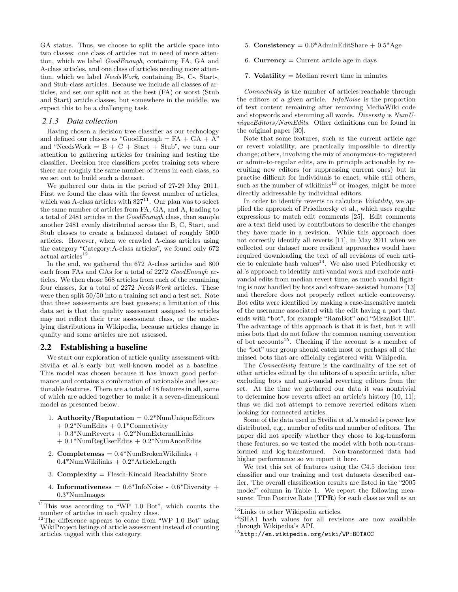GA status. Thus, we choose to split the article space into two classes: one class of articles not in need of more attention, which we label GoodEnough, containing FA, GA and A-class articles, and one class of articles needing more attention, which we label NeedsWork, containing B-, C-, Start-, and Stub-class articles. Because we include all classes of articles, and set our split not at the best (FA) or worst (Stub and Start) article classes, but somewhere in the middle, we expect this to be a challenging task.

#### *2.1.3 Data collection*

Having chosen a decision tree classifier as our technology and defined our classes as "GoodEnough =  $FA + GA + A$ " and "NeedsWork  $= B + C + Start + Stub$ ", we turn our attention to gathering articles for training and testing the classifier. Decision tree classifiers prefer training sets where there are roughly the same number of items in each class, so we set out to build such a dataset.

We gathered our data in the period of 27-29 May 2011. First we found the class with the fewest number of articles, which was A-class articles with  $827^{11}$ . Our plan was to select the same number of articles from FA, GA, and A, leading to a total of 2481 articles in the GoodEnough class, then sample another 2481 evenly distributed across the B, C, Start, and Stub classes to create a balanced dataset of roughly 5000 articles. However, when we crawled A-class articles using the category "Category:A-class articles", we found only 672  $actual$  articles<sup>12</sup>.

In the end, we gathered the 672 A-class articles and 800 each from FAs and GAs for a total of 2272 GoodEnough articles. We then chose 568 articles from each of the remaining four classes, for a total of 2272 NeedsWork articles. These were then split 50/50 into a training set and a test set. Note that these assessments are best guesses; a limitation of this data set is that the quality assessment assigned to articles may not reflect their true assessment class, or the underlying distributions in Wikipedia, because articles change in quality and some articles are not assessed.

#### 2.2 Establishing a baseline

We start our exploration of article quality assessment with Stvilia et al.'s early but well-known model as a baseline. This model was chosen because it has known good performance and contains a combination of actionable and less actionable features. There are a total of 18 features in all, some of which are added together to make it a seven-dimensional model as presented below.

- 1. Authority/Reputation  $= 0.2*$ NumUniqueEditors  $+ 0.2^*$ NumEdits  $+ 0.1^*$ Connectivity
	- $+ 0.3^*$ NumReverts  $+ 0.2^*$ NumExternalLinks
	- $+ 0.1*NumRegUserEdits + 0.2*NumAnonEdits$
- 2. **Completeness** =  $0.4^*$ NumBrokenWikilinks +  $0.4*$ NumWikilinks +  $0.2*$ ArticleLength
- 3. **Complexity** = Flesch-Kincaid Readability Score
- 4. Informativeness =  $0.6*$ InfoNoise  $0.6*$ Diversity + 0.3\*NumImages
- 5. Consistency =  $0.6*$ AdminEditShare +  $0.5*$ Age
- 6. Currency  $=$  Current article age in days
- 7. Volatility  $=$  Median revert time in minutes

Connectivity is the number of articles reachable through the editors of a given article. InfoNoise is the proportion of text content remaining after removing MediaWiki code and stopwords and stemming all words. Diversity is NumUniqueEditors/NumEdits. Other definitions can be found in the original paper [30].

Note that some features, such as the current article age or revert volatility, are practically impossible to directly change; others, involving the mix of anonymous-to-registered or admin-to-regular edits, are in principle actionable by recruiting new editors (or suppressing current ones) but in practise difficult for individuals to enact; while still others, such as the number of wikilinks<sup>13</sup> or images, might be more directly addressable by individual editors.

In order to identify reverts to calculate Volatility, we applied the approach of Priedhorsky et al., which uses regular expressions to match edit comments [25]. Edit comments are a text field used by contributors to describe the changes they have made in a revision. While this approach does not correctly identify all reverts [11], in May 2011 when we collected our dataset more resilient approaches would have required downloading the text of all revisions of each article to calculate hash values<sup>14</sup>. We also used Priedhorsky et al.'s approach to identify anti-vandal work and exclude antivandal edits from median revert time, as much vandal fighting is now handled by bots and software-assisted humans [13] and therefore does not properly reflect article controversy. Bot edits were identified by making a case-insensitive match of the username associated with the edit having a part that ends with "bot", for example "RamBot" and "MiszaBot III". The advantage of this approach is that it is fast, but it will miss bots that do not follow the common naming convention of bot accounts<sup>15</sup>. Checking if the account is a member of the "bot" user group should catch most or perhaps all of the missed bots that are officially registered with Wikipedia.

The Connectivity feature is the cardinality of the set of other articles edited by the editors of a specific article, after excluding bots and anti-vandal reverting editors from the set. At the time we gathered our data it was nontrivial to determine how reverts affect an article's history [10, 11]; thus we did not attempt to remove reverted editors when looking for connected articles.

Some of the data used in Stvilia et al.'s model is power law distributed, e.g., number of edits and number of editors. The paper did not specify whether they chose to log-transform these features, so we tested the model with both non-transformed and log-transformed. Non-transformed data had higher performance so we report it here.

We test this set of features using the C4.5 decision tree classifier and our training and test datasets described earlier. The overall classification results are listed in the "2005 model" column in Table 1. We report the following measures: True Positive Rate (TPR) for each class as well as an

 $^{15}$ http://en.wikipedia.org/wiki/WP:BOTACC

 $11$ This was according to "WP 1.0 Bot", which counts the number of articles in each quality class.

 $12$ The difference appears to come from "WP 1.0 Bot" using WikiProject listings of article assessment instead of counting articles tagged with this category.

<sup>&</sup>lt;sup>13</sup>Links to other Wikipedia articles.

<sup>14</sup>SHA1 hash values for all revisions are now available through Wikipedia's API.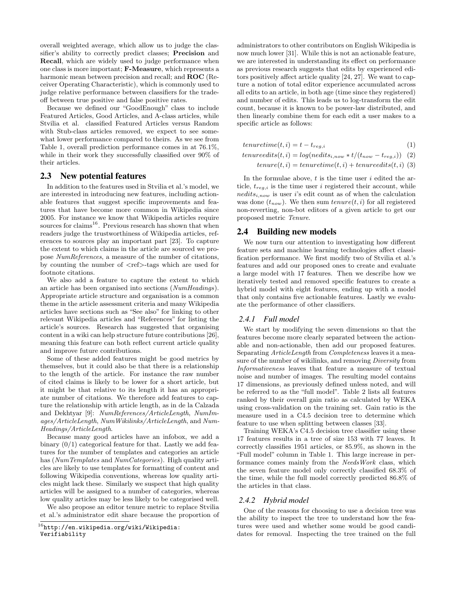overall weighted average, which allow us to judge the classifier's ability to correctly predict classes; Precision and Recall, which are widely used to judge performance when one class is more important; F-Measure, which represents a harmonic mean between precision and recall; and **ROC** (Receiver Operating Characteristic), which is commonly used to judge relative performance between classifiers for the tradeoff between true positive and false positive rates.

Because we defined our "GoodEnough" class to include Featured Articles, Good Articles, and A-class articles, while Stvilia et al. classified Featured Articles versus Random with Stub-class articles removed, we expect to see somewhat lower performance compared to theirs. As we see from Table 1, overall prediction performance comes in at 76.1%, while in their work they successfully classified over 90% of their articles.

## 2.3 New potential features

In addition to the features used in Stvilia et al.'s model, we are interested in introducing new features, including actionable features that suggest specific improvements and features that have become more common in Wikipedia since 2005. For instance we know that Wikipedia articles require sources for claims<sup>16</sup>. Previous research has shown that when readers judge the trustworthiness of Wikipedia articles, references to sources play an important part [23]. To capture the extent to which claims in the article are sourced we propose NumReferences, a measure of the number of citations, by counting the number of  $\langle$ ref $\rangle$ -tags which are used for footnote citations.

We also add a feature to capture the extent to which an article has been organised into sections (NumHeadings). Appropriate article structure and organisation is a common theme in the article assessment criteria and many Wikipedia articles have sections such as "See also" for linking to other relevant Wikipedia articles and "References" for listing the article's sources. Research has suggested that organising content in a wiki can help structure future contributions [26], meaning this feature can both reflect current article quality and improve future contributions.

Some of these added features might be good metrics by themselves, but it could also be that there is a relationship to the length of the article. For instance the raw number of cited claims is likely to be lower for a short article, but it might be that relative to its length it has an appropriate number of citations. We therefore add features to capture the relationship with article length, as in de la Calzada and Dekhtyar [9]: NumReferences/ArticleLength, NumImages/ArticleLength, NumWikilinks/ArticleLength, and Num-Headings/ArticleLength.

Because many good articles have an infobox, we add a binary  $(0/1)$  categorical feature for that. Lastly we add features for the number of templates and categories an article has (NumTemplates and NumCategories). High quality articles are likely to use templates for formatting of content and following Wikipedia conventions, whereas low quality articles might lack these. Similarly we suspect that high quality articles will be assigned to a number of categories, whereas low quality articles may be less likely to be categorised well.

We also propose an editor tenure metric to replace Stvilia et al.'s administrator edit share because the proportion of administrators to other contributors on English Wikipedia is now much lower [31]. While this is not an actionable feature, we are interested in understanding its effect on performance as previous research suggests that edits by experienced editors positively affect article quality [24, 27]. We want to capture a notion of total editor experience accumulated across all edits to an article, in both age (time since they registered) and number of edits. This leads us to log-transform the edit count, because it is known to be power-law distributed, and then linearly combine them for each edit a user makes to a specific article as follows:

$$
tenuretime(t, i) = t - t_{reg,i}
$$
\n<sup>(1)</sup>

$$
tenureedits(t, i) = log(nedits_{i, now} * t/(t_{now} - t_{reg,i}))
$$
 (2)

 $tenure(t, i) = tenuretime(t, i) + tenureedits(t, i)$  (3)

In the formulae above,  $t$  is the time user  $i$  edited the article,  $t_{reg,i}$  is the time user i registered their account, while  $nedits_{i,now}$  is user i's edit count as of when the calculation was done  $(t_{now})$ . We then sum  $tenure(t, i)$  for all registered non-reverting, non-bot editors of a given article to get our proposed metric Tenure.

#### 2.4 Building new models

We now turn our attention to investigating how different feature sets and machine learning technologies affect classification performance. We first modify two of Stvilia et al.'s features and add our proposed ones to create and evaluate a large model with 17 features. Then we describe how we iteratively tested and removed specific features to create a hybrid model with eight features, ending up with a model that only contains five actionable features. Lastly we evaluate the performance of other classifiers.

#### *2.4.1 Full model*

We start by modifying the seven dimensions so that the features become more clearly separated between the actionable and non-actionable, then add our proposed features. Separating ArticleLength from Completeness leaves it a measure of the number of wikilinks, and removing Diversity from Informativeness leaves that feature a measure of textual noise and number of images. The resulting model contains 17 dimensions, as previously defined unless noted, and will be referred to as the "full model". Table 2 lists all features ranked by their overall gain ratio as calculated by WEKA using cross-validation on the training set. Gain ratio is the measure used in a C4.5 decision tree to determine which feature to use when splitting between classes [33].

Training WEKA's C4.5 decision tree classifier using these 17 features results in a tree of size 153 with 77 leaves. It correctly classifies 1951 articles, or 85.9%, as shown in the "Full model" column in Table 1. This large increase in performance comes mainly from the NeedsWork class, which the seven feature model only correctly classified 68.3% of the time, while the full model correctly predicted 86.8% of the articles in that class.

## *2.4.2 Hybrid model*

One of the reasons for choosing to use a decision tree was the ability to inspect the tree to understand how the features were used and whether some would be good candidates for removal. Inspecting the tree trained on the full

 $^{16}$ http://en.wikipedia.org/wiki/Wikipedia: Verifiability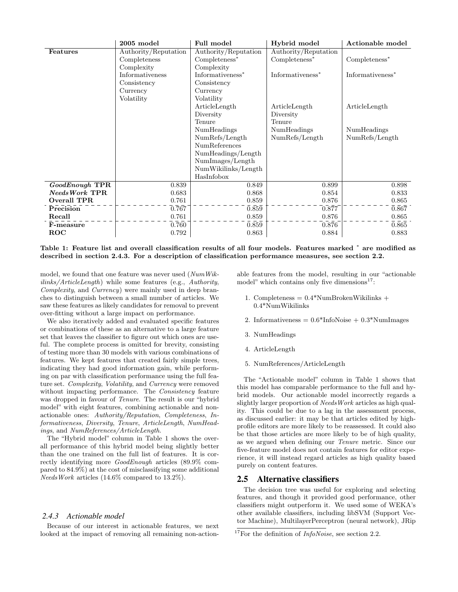|                       | $2005 \text{ model}$ | Full model           | Hybrid model         | Actionable model             |  |
|-----------------------|----------------------|----------------------|----------------------|------------------------------|--|
| Features              | Authority/Reputation | Authority/Reputation | Authority/Reputation |                              |  |
|                       | Completeness         | $Completeness*$      | $Completeness*$      | $Completeness^*$             |  |
|                       | Complexity           | Complexity           |                      |                              |  |
|                       | Informativeness      | Informativeness*     | Informativeness*     | Informativeness <sup>*</sup> |  |
|                       | Consistency          | Consistency          |                      |                              |  |
|                       | Currency             | Currency             |                      |                              |  |
|                       | Volatility           | Volatility           |                      |                              |  |
|                       |                      | ArticleLength        | ArticleLength        | ArticleLength                |  |
|                       |                      | Diversity            | Diversity            |                              |  |
|                       |                      | Tenure               | Tenure               |                              |  |
|                       |                      | NumHeadings          | NumHeadings          | NumHeadings                  |  |
|                       |                      | NumRefs/Length       | NumRefs/Length       | NumRefs/Length               |  |
|                       |                      | NumReferences        |                      |                              |  |
|                       |                      | NumHeadings/Length   |                      |                              |  |
|                       |                      | NumImages/Length     |                      |                              |  |
|                       |                      | NumWikilinks/Length  |                      |                              |  |
|                       |                      | HasInfobox           |                      |                              |  |
| GoodEnough TPR        | 0.839                | 0.849                | 0.899                | 0.898                        |  |
| <b>Needs Work TPR</b> | 0.683                | 0.868                | 0.854                | 0.833                        |  |
| Overall TPR           | 0.761                | 0.859                | 0.876                | 0.865                        |  |
| Precision             | 0.767                | 0.859                | 0.877                | 0.867                        |  |
| Recall                | 0.761                | 0.859                | 0.876                | 0.865                        |  |
| F-measure             | 0.760                | 0.859                | 0.876                | 0.865                        |  |
| $_{\rm ROC}$          | 0.792                | 0.863                | 0.884                | 0.883                        |  |

Table 1: Feature list and overall classification results of all four models. Features marked <sup>∗</sup> are modified as described in section 2.4.3. For a description of classification performance measures, see section 2.2.

model, we found that one feature was never used (NumWikilinks/ArticleLength) while some features (e.g., Authority, Complexity, and Currency) were mainly used in deep branches to distinguish between a small number of articles. We saw these features as likely candidates for removal to prevent over-fitting without a large impact on performance.

We also iteratively added and evaluated specific features or combinations of these as an alternative to a large feature set that leaves the classifier to figure out which ones are useful. The complete process is omitted for brevity, consisting of testing more than 30 models with various combinations of features. We kept features that created fairly simple trees, indicating they had good information gain, while performing on par with classification performance using the full feature set. Complexity, Volatility, and Currency were removed without impacting performance. The *Consistency* feature was dropped in favour of Tenure. The result is our "hybrid model" with eight features, combining actionable and nonactionable ones: Authority/Reputation, Completeness, Informativeness, Diversity, Tenure, ArticleLength, NumHeadings, and NumReferences/ArticleLength.

The "Hybrid model" column in Table 1 shows the overall performance of this hybrid model being slightly better than the one trained on the full list of features. It is correctly identifying more *GoodEnough* articles (89.9% compared to 84.9%) at the cost of misclassifying some additional NeedsWork articles (14.6% compared to 13.2%).

#### *2.4.3 Actionable model*

Because of our interest in actionable features, we next looked at the impact of removing all remaining non-actionable features from the model, resulting in our "actionable model" which contains only five dimensions $17$ :

- 1. Completeness =  $0.4*$ NumBrokenWikilinks + 0.4\*NumWikilinks
- 2. Informativeness  $= 0.6*$ InfoNoise  $+ 0.3*$ NumImages
- 3. NumHeadings
- 4. ArticleLength
- 5. NumReferences/ArticleLength

The "Actionable model" column in Table 1 shows that this model has comparable performance to the full and hybrid models. Our actionable model incorrectly regards a slightly larger proportion of Needs Work articles as high quality. This could be due to a lag in the assessment process, as discussed earlier: it may be that articles edited by highprofile editors are more likely to be reassessed. It could also be that those articles are more likely to be of high quality, as we argued when defining our Tenure metric. Since our five-feature model does not contain features for editor experience, it will instead regard articles as high quality based purely on content features.

#### 2.5 Alternative classifiers

The decision tree was useful for exploring and selecting features, and though it provided good performance, other classifiers might outperform it. We used some of WEKA's other available classifiers, including libSVM (Support Vector Machine), MultilayerPerceptron (neural network), JRip

<sup>&</sup>lt;sup>17</sup>For the definition of *InfoNoise*, see section 2.2.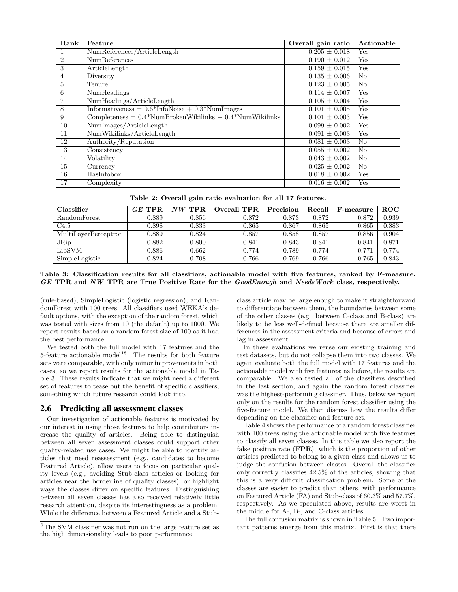| Rank                     | Feature                                                      | Overall gain ratio | Actionable     |
|--------------------------|--------------------------------------------------------------|--------------------|----------------|
|                          | NumReferences/ArticleLength                                  | $0.205 \pm 0.018$  | Yes            |
| $\overline{2}$           | NumReferences                                                | $0.190 \pm 0.012$  | Yes            |
| $\overline{\mathcal{E}}$ | ArticleLength                                                | $0.159 \pm 0.015$  | Yes            |
| $\overline{4}$           | Diversity                                                    | $0.135 \pm 0.006$  | No             |
| $\overline{5}$           | Tenure                                                       | $0.123 \pm 0.005$  | No             |
| $6\overline{6}$          | NumHeadings                                                  | $0.114 \pm 0.007$  | Yes            |
| $\overline{7}$           | NumHeadings/ArticleLength                                    | $0.105 \pm 0.004$  | Yes            |
| $\overline{8}$           | Informativeness = $0.6*$ InfoNoise + $0.3*$ NumImages        | $0.101 \pm 0.005$  | Yes            |
| 9                        | $Completeness = 0.4*Num Broken Wikilinks + 0.4*NumWikilinks$ | $0.101 \pm 0.003$  | Yes            |
| 10                       | NumImages/ArticleLength                                      | $0.099 \pm 0.002$  | Yes            |
| 11                       | NumWikilinks/ArticleLength                                   | $0.091 \pm 0.003$  | Yes            |
| 12                       | Authority/Reputation                                         | $0.081 \pm 0.003$  | N <sub>o</sub> |
| 13                       | Consistency                                                  | $0.055 \pm 0.002$  | No             |
| $\overline{14}$          | Volatility                                                   | $0.043 \pm 0.002$  | No             |
| 15                       | Currency                                                     | $0.025 \pm 0.002$  | No             |
| 16                       | HasInfobox                                                   | $0.018 \pm 0.002$  | Yes            |
| 17                       | Complexity                                                   | $0.016 \pm 0.002$  | Yes            |

Table 2: Overall gain ratio evaluation for all 17 features.

| Classifier           | $GE$ TPR. | TPR.<br>N W | Overall TPR | Precision | Recall | <b>F-measure</b> | <b>ROC</b> |
|----------------------|-----------|-------------|-------------|-----------|--------|------------------|------------|
| <b>RandomForest</b>  | 0.889     | 0.856       | 0.872       | 0.873     | 0.872  | 0.872            | 0.939      |
| C4.5                 | 0.898     | 0.833       | 0.865       | 0.867     | 0.865  | 0.865            | 0.883      |
| MultiLayerPerceptron | 0.889     | 0.824       | 0.857       | 0.858     | 0.857  | 0.856            | 0.904      |
| JRip                 | 0.882     | 0.800       | 0.841       | 0.843     | 0.841  | 0.841            | 0.871      |
| LibSVM               | 0.886     | 0.662       | 0.774       | 0.789     | 0.774  | 0.771            | 0.774      |
| SimpleLogistic       | 0.824     | 0.708       | 0.766       | 0.769     | 0.766  | 0.765            | 0.843      |

Table 3: Classification results for all classifiers, actionable model with five features, ranked by F-measure. GE TPR and NW TPR are True Positive Rate for the GoodEnough and Needs Work class, respectively.

(rule-based), SimpleLogistic (logistic regression), and RandomForest with 100 trees. All classifiers used WEKA's default options, with the exception of the random forest, which was tested with sizes from 10 (the default) up to 1000. We report results based on a random forest size of 100 as it had the best performance.

We tested both the full model with 17 features and the 5-feature actionable model<sup>18</sup>. The results for both feature sets were comparable, with only minor improvements in both cases, so we report results for the actionable model in Table 3. These results indicate that we might need a different set of features to tease out the benefit of specific classifiers, something which future research could look into.

#### 2.6 Predicting all assessment classes

Our investigation of actionable features is motivated by our interest in using those features to help contributors increase the quality of articles. Being able to distinguish between all seven assessment classes could support other quality-related use cases. We might be able to identify articles that need reassessment (e.g., candidates to become Featured Article), allow users to focus on particular quality levels (e.g., avoiding Stub-class articles or looking for articles near the borderline of quality classes), or highlight ways the classes differ on specific features. Distinguishing between all seven classes has also received relatively little research attention, despite its interestingness as a problem. While the difference between a Featured Article and a Stubclass article may be large enough to make it straightforward to differentiate between them, the boundaries between some of the other classes (e.g., between C-class and B-class) are likely to be less well-defined because there are smaller differences in the assessment criteria and because of errors and lag in assessment.

In these evaluations we reuse our existing training and test datasets, but do not collapse them into two classes. We again evaluate both the full model with 17 features and the actionable model with five features; as before, the results are comparable. We also tested all of the classifiers described in the last section, and again the random forest classifier was the highest-performing classifier. Thus, below we report only on the results for the random forest classifier using the five-feature model. We then discuss how the results differ depending on the classifier and feature set.

Table 4 shows the performance of a random forest classifier with 100 trees using the actionable model with five features to classify all seven classes. In this table we also report the false positive rate (FPR), which is the proportion of other articles predicted to belong to a given class and allows us to judge the confusion between classes. Overall the classifier only correctly classifies 42.5% of the articles, showing that this is a very difficult classification problem. Some of the classes are easier to predict than others, with performance on Featured Article (FA) and Stub-class of 60.3% and 57.7%, respectively. As we speculated above, results are worst in the middle for A-, B-, and C-class articles.

The full confusion matrix is shown in Table 5. Two important patterns emerge from this matrix. First is that there

<sup>18</sup>The SVM classifier was not run on the large feature set as the high dimensionality leads to poor performance.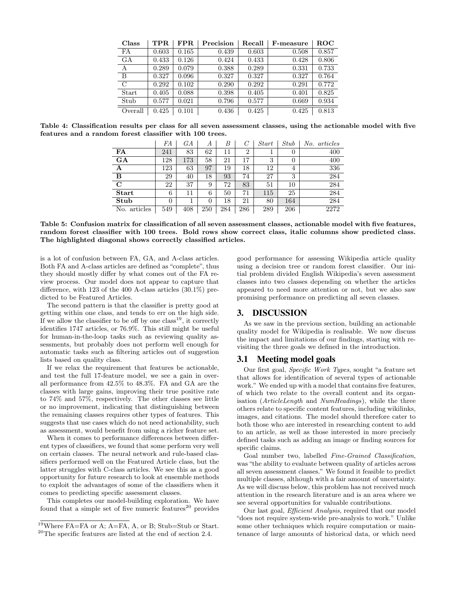| Class          | TPR.  | FPR.  | Precision | Recall | F-measure | <b>ROC</b> |
|----------------|-------|-------|-----------|--------|-----------|------------|
| FA             | 0.603 | 0.165 | 0.439     | 0.603  | 0.508     | 0.857      |
| G A            | 0.433 | 0.126 | 0.424     | 0.433  | 0.428     | 0.806      |
| А              | 0.289 | 0.079 | 0.388     | 0.289  | 0.331     | 0.733      |
| B              | 0.327 | 0.096 | 0.327     | 0.327  | 0.327     | 0.764      |
| $\overline{C}$ | 0.292 | 0.102 | 0.290     | 0.292  | 0.291     | 0.772      |
| Start          | 0.405 | 0.088 | 0.398     | 0.405  | 0.401     | 0.825      |
| Stub           | 0.577 | 0.021 | 0.796     | 0.577  | 0.669     | 0.934      |
| Overall        | 0.425 | 0.101 | 0.436     | 0.425  | 0.425     | 0.813      |

Table 4: Classification results per class for all seven assessment classes, using the actionable model with five features and a random forest classifier with 100 trees.

|                         | FA  | GА  | A        | B   | C              | <i>Start</i> | Stub | No. articles |
|-------------------------|-----|-----|----------|-----|----------------|--------------|------|--------------|
| FA                      | 241 | 83  | 62       | 11  | $\overline{2}$ |              | 0    | 400          |
| GA                      | 128 | 173 | 58       | 21  | 17             | 3            | 0    | 400          |
| Α                       | 123 | 63  | 97       | 19  | 18             | 12           | 4    | 336          |
| B                       | 29  | 40  | 18       | 93  | 74             | 27           | 3    | 284          |
| $\overline{\mathbf{C}}$ | 22  | 37  | 9        | 72  | 83             | 51           | 10   | 284          |
| <b>Start</b>            | 6   | 11  | 6        | 50  | 71             | 115          | 25   | 284          |
| Stub                    | 0   |     | $\theta$ | 18  | 21             | 80           | 164  | 284          |
| No. articles            | 549 | 408 | 250      | 284 | 286            | 289          | 206  | 2272         |

Table 5: Confusion matrix for classification of all seven assessment classes, actionable model with five features, random forest classifier with 100 trees. Bold rows show correct class, italic columns show predicted class. The highlighted diagonal shows correctly classified articles.

is a lot of confusion between FA, GA, and A-class articles. Both FA and A-class articles are defined as "complete", thus they should mostly differ by what comes out of the FA review process. Our model does not appear to capture that difference, with 123 of the 400 A-class articles (30.1%) predicted to be Featured Articles.

The second pattern is that the classifier is pretty good at getting within one class, and tends to err on the high side. If we allow the classifier to be off by one class<sup>19</sup>, it correctly identifies 1747 articles, or 76.9%. This still might be useful for human-in-the-loop tasks such as reviewing quality assessments, but probably does not perform well enough for automatic tasks such as filtering articles out of suggestion lists based on quality class.

If we relax the requirement that features be actionable, and test the full 17-feature model, we see a gain in overall performance from 42.5% to 48.3%. FA and GA are the classes with large gains, improving their true positive rate to 74% and 57%, respectively. The other classes see little or no improvement, indicating that distinguishing between the remaining classes requires other types of features. This suggests that use cases which do not need actionability, such as assessment, would benefit from using a richer feature set.

When it comes to performance differences between different types of classifiers, we found that some perform very well on certain classes. The neural network and rule-based classifiers performed well on the Featured Article class, but the latter struggles with C-class articles. We see this as a good opportunity for future research to look at ensemble methods to exploit the advantages of some of the classifiers when it comes to predicting specific assessment classes.

This completes our model-building exploration. We have found that a simple set of five numeric  $f$ eatures<sup>20</sup> provides good performance for assessing Wikipedia article quality using a decision tree or random forest classifier. Our initial problem divided English Wikipedia's seven assessment classes into two classes depending on whether the articles appeared to need more attention or not, but we also saw promising performance on predicting all seven classes.

# 3. DISCUSSION

As we saw in the previous section, building an actionable quality model for Wikipedia is realisable. We now discuss the impact and limitations of our findings, starting with revisiting the three goals we defined in the introduction.

## 3.1 Meeting model goals

Our first goal, Specific Work Types, sought "a feature set that allows for identification of several types of actionable work." We ended up with a model that contains five features, of which two relate to the overall content and its organisation (ArticleLength and NumHeadings), while the three others relate to specific content features, including wikilinks, images, and citations. The model should therefore cater to both those who are interested in researching content to add to an article, as well as those interested in more precisely defined tasks such as adding an image or finding sources for specific claims.

Goal number two, labelled Fine-Grained Classification, was "the ability to evaluate between quality of articles across all seven assessment classes." We found it feasible to predict multiple classes, although with a fair amount of uncertainty. As we will discuss below, this problem has not received much attention in the research literature and is an area where we see several opportunities for valuable contributions.

Our last goal, Efficient Analysis, required that our model "does not require system-wide pre-analysis to work." Unlike some other techniques which require computation or maintenance of large amounts of historical data, or which need

<sup>19</sup>Where FA=FA or A; A=FA, A, or B; Stub=Stub or Start.  $20$ <sup>20</sup>The specific features are listed at the end of section 2.4.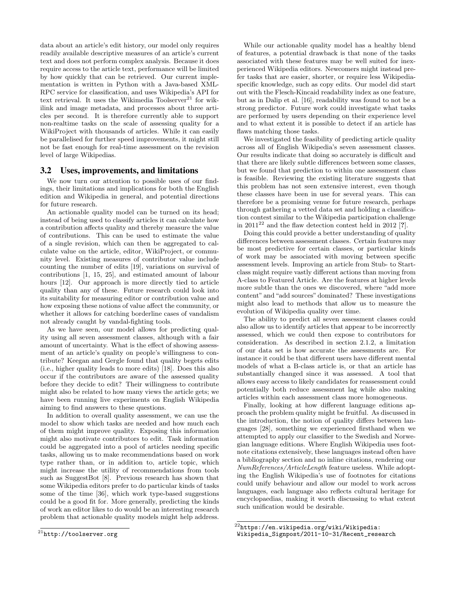data about an article's edit history, our model only requires readily available descriptive measures of an article's current text and does not perform complex analysis. Because it does require access to the article text, performance will be limited by how quickly that can be retrieved. Our current implementation is written in Python with a Java-based XML-RPC service for classification, and uses Wikipedia's API for text retrieval. It uses the Wikimedia Toolserver<sup>21</sup> for wikilink and image metadata, and processes about three articles per second. It is therefore currently able to support non-realtime tasks on the scale of assessing quality for a WikiProject with thousands of articles. While it can easily be parallelised for further speed improvements, it might still not be fast enough for real-time assessment on the revision level of large Wikipedias.

#### 3.2 Uses, improvements, and limitations

We now turn our attention to possible uses of our findings, their limitations and implications for both the English edition and Wikipedia in general, and potential directions for future research.

An actionable quality model can be turned on its head; instead of being used to classify articles it can calculate how a contribution affects quality and thereby measure the value of contributions. This can be used to estimate the value of a single revision, which can then be aggregated to calculate value on the article, editor, WikiProject, or community level. Existing measures of contributor value include counting the number of edits [19], variations on survival of contributions [1, 15, 25], and estimated amount of labour hours [12]. Our approach is more directly tied to article quality than any of these. Future research could look into its suitability for measuring editor or contribution value and how exposing these notions of value affect the community, or whether it allows for catching borderline cases of vandalism not already caught by vandal-fighting tools.

As we have seen, our model allows for predicting quality using all seven assessment classes, although with a fair amount of uncertainty. What is the effect of showing assessment of an article's quality on people's willingness to contribute? Keegan and Gergle found that quality begets edits (i.e., higher quality leads to more edits) [18]. Does this also occur if the contributors are aware of the assessed quality before they decide to edit? Their willingness to contribute might also be related to how many views the article gets; we have been running live experiments on English Wikipedia aiming to find answers to these questions.

In addition to overall quality assessment, we can use the model to show which tasks are needed and how much each of them might improve quality. Exposing this information might also motivate contributors to edit. Task information could be aggregated into a pool of articles needing specific tasks, allowing us to make recommendations based on work type rather than, or in addition to, article topic, which might increase the utility of recommendations from tools such as SuggestBot [8]. Previous research has shown that some Wikipedia editors prefer to do particular kinds of tasks some of the time [36], which work type-based suggestions could be a good fit for. More generally, predicting the kinds of work an editor likes to do would be an interesting research problem that actionable quality models might help address.

While our actionable quality model has a healthy blend of features, a potential drawback is that none of the tasks associated with these features may be well suited for inexperienced Wikipedia editors. Newcomers might instead prefer tasks that are easier, shorter, or require less Wikipediaspecific knowledge, such as copy edits. Our model did start out with the Flesch-Kincaid readability index as one feature, but as in Dalip et al. [16], readability was found to not be a strong predictor. Future work could investigate what tasks are performed by users depending on their experience level and to what extent it is possible to detect if an article has flaws matching those tasks.

We investigated the feasibility of predicting article quality across all of English Wikipedia's seven assessment classes. Our results indicate that doing so accurately is difficult and that there are likely subtle differences between some classes, but we found that prediction to within one assessment class is feasible. Reviewing the existing literature suggests that this problem has not seen extensive interest, even though these classes have been in use for several years. This can therefore be a promising venue for future research, perhaps through gathering a vetted data set and holding a classification contest similar to the Wikipedia participation challenge in  $2011^{22}$  and the flaw detection contest held in 2012 [?].

Doing this could provide a better understanding of quality differences between assessment classes. Certain features may be most predictive for certain classes, or particular kinds of work may be associated with moving between specific assessment levels. Improving an article from Stub- to Startclass might require vastly different actions than moving from A-class to Featured Article. Are the features at higher levels more subtle than the ones we discovered, where "add more content" and "add sources" dominated? These investigations might also lead to methods that allow us to measure the evolution of Wikipedia quality over time.

The ability to predict all seven assessment classes could also allow us to identify articles that appear to be incorrectly assessed, which we could then expose to contributors for consideration. As described in section 2.1.2, a limitation of our data set is how accurate the assessments are. For instance it could be that different users have different mental models of what a B-class article is, or that an article has substantially changed since it was assessed. A tool that allows easy access to likely candidates for reassessment could potentially both reduce assessment lag while also making articles within each assessment class more homogeneous.

Finally, looking at how different language editions approach the problem quality might be fruitful. As discussed in the introduction, the notion of quality differs between languages [28], something we experienced firsthand when we attempted to apply our classifier to the Swedish and Norwegian language editions. Where English Wikipedia uses footnote citations extensively, these languages instead often have a bibliography section and no inline citations, rendering our NumReferences/ArticleLength feature useless. While adopting the English Wikipedia's use of footnotes for citations could unify behaviour and allow our model to work across languages, each language also reflects cultural heritage for encyclopaedias, making it worth discussing to what extent such unification would be desirable.

 $^{21}$ http://toolserver.org

 $^{22}$ https://en.wikipedia.org/wiki/Wikipedia:

Wikipedia\_Signpost/2011-10-31/Recent\_research